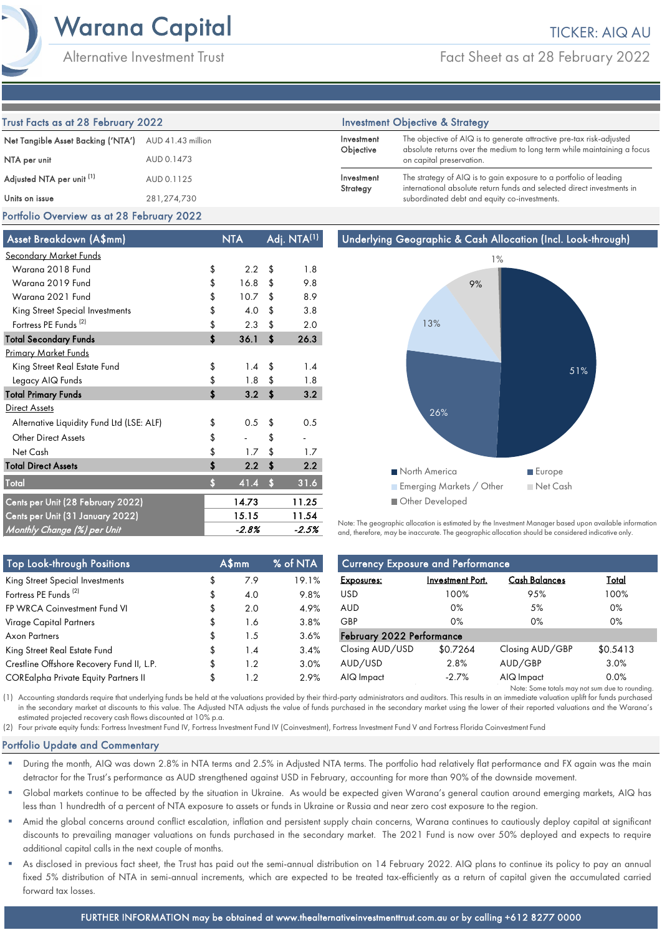Fact Sheet as at 28 February 2022

| Trust Facts as at 28 February 2022   |                   |                         | <b>Investment Objective &amp; Strategy</b>                                                                                                      |  |  |  |
|--------------------------------------|-------------------|-------------------------|-------------------------------------------------------------------------------------------------------------------------------------------------|--|--|--|
| Net Tangible Asset Backing ('NTA')   | AUD 41.43 million | Investment<br>Objective | The objective of AIQ is to generate attractive pre-tax risk-adjusted<br>absolute returns over the medium to long term while maintaining a focus |  |  |  |
| NTA per unit                         | AUD 0.1473        |                         | on capital preservation.                                                                                                                        |  |  |  |
| Adjusted NTA per unit <sup>(1)</sup> | AUD 0.1125        | Investment<br>Strategy  | The strategy of AIQ is to gain exposure to a portfolio of leading<br>international absolute return funds and selected direct investments in     |  |  |  |
| Units on issue                       | 281,274,730       |                         | subordinated debt and equity co-investments.                                                                                                    |  |  |  |

# Portfolio Overview as at 28 February 2022

| Asset Breakdown (A\$mm)                   |    | <b>NTA</b> | Adj. NTA <sup>(1)</sup> |       |
|-------------------------------------------|----|------------|-------------------------|-------|
| <u>Secondary Market Funds</u>             |    |            |                         |       |
| Warana 2018 Fund                          | \$ | 2.2        | \$                      | 1.8   |
| Warana 2019 Fund                          | \$ | 16.8       | \$                      | 9.8   |
| Warana 2021 Fund                          | \$ | 10.7       | \$                      | 8.9   |
| King Street Special Investments           | \$ | 4.0        | \$                      | 3.8   |
| Fortress PE Funds <sup>(2)</sup>          | \$ | 2.3        | \$                      | 2.0   |
| <b>Total Secondary Funds</b>              | \$ | 36.1       | \$                      | 26.3  |
| <b>Primary Market Funds</b>               |    |            |                         |       |
| King Street Real Estate Fund              | \$ | 1.4        | \$                      | 1.4   |
| Legacy AIQ Funds                          | \$ | 1.8        | \$                      | 1.8   |
| <b>Total Primary Funds</b>                | \$ | 3.2        | \$                      | 3.2   |
| <b>Direct Assets</b>                      |    |            |                         |       |
| Alternative Liquidity Fund Ltd (LSE: ALF) | \$ | 0.5        | \$                      | 0.5   |
| <b>Other Direct Assets</b>                | \$ |            | \$                      |       |
| Net Cash                                  | \$ | 1.7        | \$                      | 1.7   |
| <b>Total Direct Assets</b>                | \$ | 2.2        | \$                      | 2.2   |
| <b>Total</b>                              | Ś  | 41.4       | $\mathbf{s}$            | 31.6  |
| Cents per Unit (28 February 2022)         |    | 14.73      |                         | 11.25 |
| Cents per Unit (31 January 2022)          |    | 15.15      |                         | 11.54 |
| Monthly Change (%) per Unit               |    | -2.8%      |                         | -2.5% |



Note: The geographic allocation is estimated by the Investment Manager based upon available information and, therefore, may be inaccurate. The geographic allocation should be considered indicative only.

| <b>Top Look-through Positions</b>           | A\$mm     | % of NTA | <b>Currency Exposure and Performance</b> |                         |                                                |              |
|---------------------------------------------|-----------|----------|------------------------------------------|-------------------------|------------------------------------------------|--------------|
| King Street Special Investments             | \$<br>7.9 | 19.1%    | <b>Exposures:</b>                        | <b>Investment Port.</b> | <b>Cash Balances</b>                           | <u>Total</u> |
| Fortress PE Funds <sup>(2)</sup>            | \$<br>4.0 | 9.8%     | <b>USD</b>                               | 100%                    | 95%                                            | 100%         |
| FP WRCA Coinvestment Fund VI                | 2.0       | 4.9%     | AUD                                      | $0\%$                   | 5%                                             | 0%           |
| Virage Capital Partners                     | 1.6       | 3.8%     | GBP                                      | $0\%$                   | 0%                                             | 0%           |
| Axon Partners                               | 1.5       | 3.6%     | February 2022 Performance                |                         |                                                |              |
| King Street Real Estate Fund                | \$<br>1.4 | 3.4%     | Closing AUD/USD                          | \$0.7264                | Closing AUD/GBP                                | \$0.5413     |
| Crestline Offshore Recovery Fund II, L.P.   | \$<br>1.2 | 3.0%     | AUD/USD                                  | 2.8%                    | AUD/GBP                                        | 3.0%         |
| <b>COREalpha Private Equity Partners II</b> | 1.2       | 2.9%     | AIQ Impact                               | $-2.7%$                 | AIQ Impact                                     | 0.0%         |
|                                             |           |          |                                          |                         | Note: Some totals may not sum due to rounding. |              |

(1) Accounting standards require that underlying funds be held at the valuations provided by their third-party administrators and auditors. This results in an immediate valuation uplift for funds purchased in the secondary market at discounts to this value. The Adjusted NTA adjusts the value of funds purchased in the secondary market using the lower of their reported valuations and the Warana's estimated projected recovery cash flows discounted at 10% p.a.

(2) Four private equity funds: Fortress Investment Fund IV, Fortress Investment Fund IV (Coinvestment), Fortress Investment Fund V and Fortress Florida Coinvestment Fund

# Portfolio Update and Commentary

- During the month, AIQ was down 2.8% in NTA terms and 2.5% in Adjusted NTA terms. The portfolio had relatively flat performance and FX again was the main detractor for the Trust's performance as AUD strengthened against USD in February, accounting for more than 90% of the downside movement.
- Global markets continue to be affected by the situation in Ukraine. As would be expected given Warana's general caution around emerging markets, AIQ has less than 1 hundredth of a percent of NTA exposure to assets or funds in Ukraine or Russia and near zero cost exposure to the region.
- Amid the global concerns around conflict escalation, inflation and persistent supply chain concerns, Warana continues to cautiously deploy capital at significant discounts to prevailing manager valuations on funds purchased in the secondary market. The 2021 Fund is now over 50% deployed and expects to require additional capital calls in the next couple of months.
- As disclosed in previous fact sheet, the Trust has paid out the semi-annual distribution on 14 February 2022. AIQ plans to continue its policy to pay an annual fixed 5% distribution of NTA in semi-annual increments, which are expected to be treated tax-efficiently as a return of capital given the accumulated carried forward tax losses.